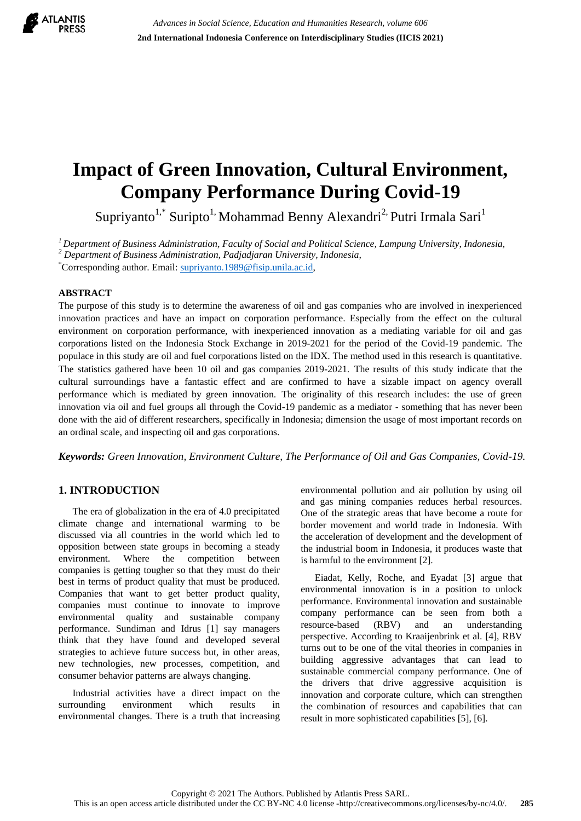

# **Impact of Green Innovation, Cultural Environment, Company Performance During Covid-19**

Supriyanto<sup>1,\*</sup> Suripto<sup>1,</sup> Mohammad Benny Alexandri<sup>2,</sup> Putri Irmala Sari<sup>1</sup>

*<sup>1</sup>Department of Business Administration, Faculty of Social and Political Science, Lampung University, Indonesia, <sup>2</sup> Department of Business Administration, Padjadjaran University, Indonesia,*

\*Corresponding author. Email: [supriyanto.1989@fisip.unila.ac.id,](mailto:supriyanto.1989@fisip.unila.ac.id)

#### **ABSTRACT**

The purpose of this study is to determine the awareness of oil and gas companies who are involved in inexperienced innovation practices and have an impact on corporation performance. Especially from the effect on the cultural environment on corporation performance, with inexperienced innovation as a mediating variable for oil and gas corporations listed on the Indonesia Stock Exchange in 2019-2021 for the period of the Covid-19 pandemic. The populace in this study are oil and fuel corporations listed on the IDX. The method used in this research is quantitative. The statistics gathered have been 10 oil and gas companies 2019-2021. The results of this study indicate that the cultural surroundings have a fantastic effect and are confirmed to have a sizable impact on agency overall performance which is mediated by green innovation. The originality of this research includes: the use of green innovation via oil and fuel groups all through the Covid-19 pandemic as a mediator - something that has never been done with the aid of different researchers, specifically in Indonesia; dimension the usage of most important records on an ordinal scale, and inspecting oil and gas corporations.

*Keywords: Green Innovation, Environment Culture, The Performance of Oil and Gas Companies, Covid-19.*

# **1. INTRODUCTION**

The era of globalization in the era of 4.0 precipitated climate change and international warming to be discussed via all countries in the world which led to opposition between state groups in becoming a steady environment. Where the competition between companies is getting tougher so that they must do their best in terms of product quality that must be produced. Companies that want to get better product quality, companies must continue to innovate to improve environmental quality and sustainable company performance. Sundiman and Idrus [1] say managers think that they have found and developed several strategies to achieve future success but, in other areas, new technologies, new processes, competition, and consumer behavior patterns are always changing.

Industrial activities have a direct impact on the surrounding environment which results in environmental changes. There is a truth that increasing environmental pollution and air pollution by using oil and gas mining companies reduces herbal resources. One of the strategic areas that have become a route for border movement and world trade in Indonesia. With the acceleration of development and the development of the industrial boom in Indonesia, it produces waste that is harmful to the environment [2].

Eiadat, Kelly, Roche, and Eyadat [3] argue that environmental innovation is in a position to unlock performance. Environmental innovation and sustainable company performance can be seen from both a resource-based (RBV) and an understanding perspective. According to Kraaijenbrink et al. [4], RBV turns out to be one of the vital theories in companies in building aggressive advantages that can lead to sustainable commercial company performance. One of the drivers that drive aggressive acquisition is innovation and corporate culture, which can strengthen the combination of resources and capabilities that can result in more sophisticated capabilities [5], [6].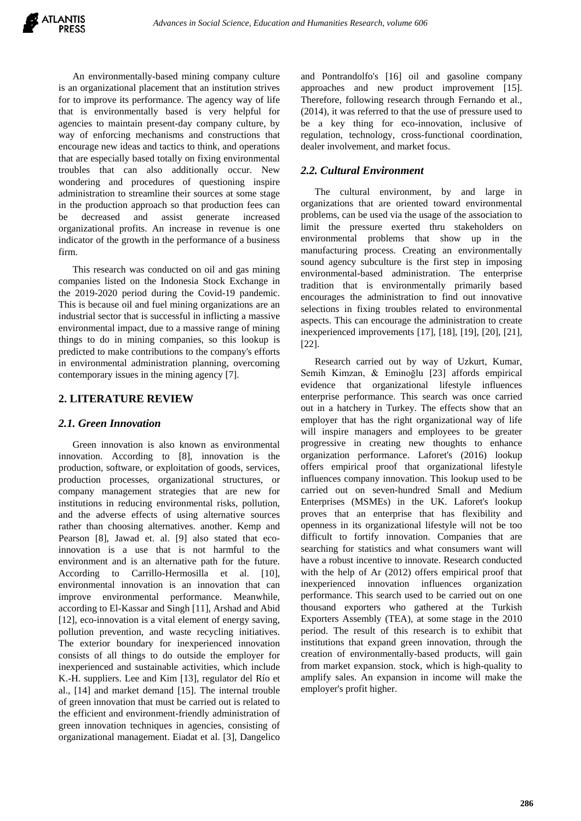An environmentally-based mining company culture is an organizational placement that an institution strives for to improve its performance. The agency way of life that is environmentally based is very helpful for agencies to maintain present-day company culture, by way of enforcing mechanisms and constructions that encourage new ideas and tactics to think, and operations that are especially based totally on fixing environmental troubles that can also additionally occur. New wondering and procedures of questioning inspire administration to streamline their sources at some stage in the production approach so that production fees can be decreased and assist generate increased organizational profits. An increase in revenue is one indicator of the growth in the performance of a business firm.

This research was conducted on oil and gas mining companies listed on the Indonesia Stock Exchange in the 2019-2020 period during the Covid-19 pandemic. This is because oil and fuel mining organizations are an industrial sector that is successful in inflicting a massive environmental impact, due to a massive range of mining things to do in mining companies, so this lookup is predicted to make contributions to the company's efforts in environmental administration planning, overcoming contemporary issues in the mining agency [7].

## **2. LITERATURE REVIEW**

#### *2.1. Green Innovation*

Green innovation is also known as environmental innovation. According to [8], innovation is the production, software, or exploitation of goods, services, production processes, organizational structures, or company management strategies that are new for institutions in reducing environmental risks, pollution, and the adverse effects of using alternative sources rather than choosing alternatives. another. Kemp and Pearson [8], Jawad et. al. [9] also stated that ecoinnovation is a use that is not harmful to the environment and is an alternative path for the future. According to Carrillo-Hermosilla et al. [10], environmental innovation is an innovation that can improve environmental performance. Meanwhile, according to El-Kassar and Singh [11], Arshad and Abid [12], eco-innovation is a vital element of energy saving, pollution prevention, and waste recycling initiatives. The exterior boundary for inexperienced innovation consists of all things to do outside the employer for inexperienced and sustainable activities, which include K.-H. suppliers. Lee and Kim [13], regulator del Río et al., [14] and market demand [15]. The internal trouble of green innovation that must be carried out is related to the efficient and environment-friendly administration of green innovation techniques in agencies, consisting of organizational management. Eiadat et al. [3], Dangelico and Pontrandolfo's [16] oil and gasoline company approaches and new product improvement [15]. Therefore, following research through Fernando et al., (2014), it was referred to that the use of pressure used to be a key thing for eco-innovation, inclusive of regulation, technology, cross-functional coordination, dealer involvement, and market focus.

# *2.2. Cultural Environment*

The cultural environment, by and large in organizations that are oriented toward environmental problems, can be used via the usage of the association to limit the pressure exerted thru stakeholders on environmental problems that show up in the manufacturing process. Creating an environmentally sound agency subculture is the first step in imposing environmental-based administration. The enterprise tradition that is environmentally primarily based encourages the administration to find out innovative selections in fixing troubles related to environmental aspects. This can encourage the administration to create inexperienced improvements [17], [18], [19], [20], [21], [22].

Research carried out by way of Uzkurt, Kumar, Semih Kimzan, & Eminoğlu [23] affords empirical evidence that organizational lifestyle influences enterprise performance. This search was once carried out in a hatchery in Turkey. The effects show that an employer that has the right organizational way of life will inspire managers and employees to be greater progressive in creating new thoughts to enhance organization performance. Laforet's (2016) lookup offers empirical proof that organizational lifestyle influences company innovation. This lookup used to be carried out on seven-hundred Small and Medium Enterprises (MSMEs) in the UK. Laforet's lookup proves that an enterprise that has flexibility and openness in its organizational lifestyle will not be too difficult to fortify innovation. Companies that are searching for statistics and what consumers want will have a robust incentive to innovate. Research conducted with the help of Ar (2012) offers empirical proof that inexperienced innovation influences organization performance. This search used to be carried out on one thousand exporters who gathered at the Turkish Exporters Assembly (TEA), at some stage in the 2010 period. The result of this research is to exhibit that institutions that expand green innovation, through the creation of environmentally-based products, will gain from market expansion. stock, which is high-quality to amplify sales. An expansion in income will make the employer's profit higher.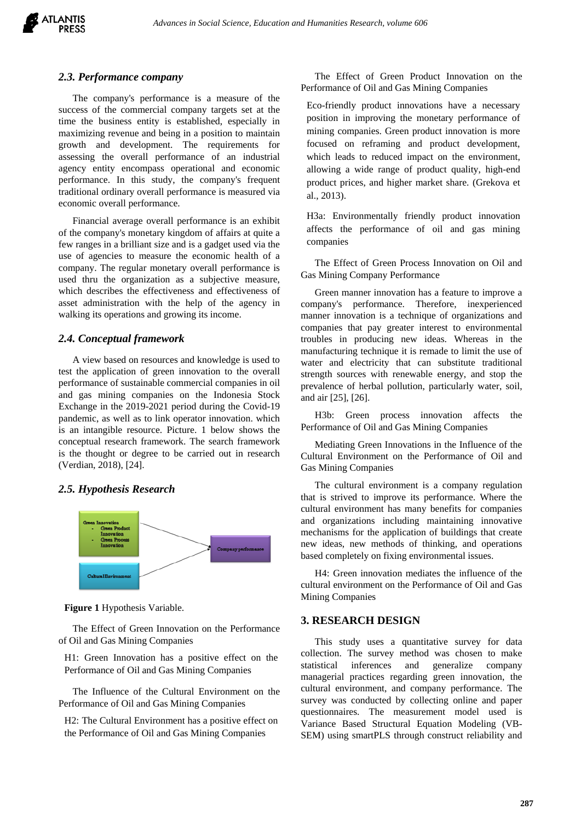

#### *2.3. Performance company*

The company's performance is a measure of the success of the commercial company targets set at the time the business entity is established, especially in maximizing revenue and being in a position to maintain growth and development. The requirements for assessing the overall performance of an industrial agency entity encompass operational and economic performance. In this study, the company's frequent traditional ordinary overall performance is measured via economic overall performance.

Financial average overall performance is an exhibit of the company's monetary kingdom of affairs at quite a few ranges in a brilliant size and is a gadget used via the use of agencies to measure the economic health of a company. The regular monetary overall performance is used thru the organization as a subjective measure, which describes the effectiveness and effectiveness of asset administration with the help of the agency in walking its operations and growing its income.

## *2.4. Conceptual framework*

A view based on resources and knowledge is used to test the application of green innovation to the overall performance of sustainable commercial companies in oil and gas mining companies on the Indonesia Stock Exchange in the 2019-2021 period during the Covid-19 pandemic, as well as to link operator innovation. which is an intangible resource. Picture. 1 below shows the conceptual research framework. The search framework is the thought or degree to be carried out in research (Verdian, 2018), [24].

#### *2.5. Hypothesis Research*



**Figure 1** Hypothesis Variable.

The Effect of Green Innovation on the Performance of Oil and Gas Mining Companies

H1: Green Innovation has a positive effect on the Performance of Oil and Gas Mining Companies

The Influence of the Cultural Environment on the Performance of Oil and Gas Mining Companies

H2: The Cultural Environment has a positive effect on the Performance of Oil and Gas Mining Companies

The Effect of Green Product Innovation on the Performance of Oil and Gas Mining Companies

Eco-friendly product innovations have a necessary position in improving the monetary performance of mining companies. Green product innovation is more focused on reframing and product development, which leads to reduced impact on the environment, allowing a wide range of product quality, high-end product prices, and higher market share. (Grekova et al., 2013).

H3a: Environmentally friendly product innovation affects the performance of oil and gas mining companies

The Effect of Green Process Innovation on Oil and Gas Mining Company Performance

Green manner innovation has a feature to improve a company's performance. Therefore, inexperienced manner innovation is a technique of organizations and companies that pay greater interest to environmental troubles in producing new ideas. Whereas in the manufacturing technique it is remade to limit the use of water and electricity that can substitute traditional strength sources with renewable energy, and stop the prevalence of herbal pollution, particularly water, soil, and air [25], [26].

H3b: Green process innovation affects the Performance of Oil and Gas Mining Companies

Mediating Green Innovations in the Influence of the Cultural Environment on the Performance of Oil and Gas Mining Companies

The cultural environment is a company regulation that is strived to improve its performance. Where the cultural environment has many benefits for companies and organizations including maintaining innovative mechanisms for the application of buildings that create new ideas, new methods of thinking, and operations based completely on fixing environmental issues.

H4: Green innovation mediates the influence of the cultural environment on the Performance of Oil and Gas Mining Companies

#### **3. RESEARCH DESIGN**

This study uses a quantitative survey for data collection. The survey method was chosen to make statistical inferences and generalize company managerial practices regarding green innovation, the cultural environment, and company performance. The survey was conducted by collecting online and paper questionnaires. The measurement model used is Variance Based Structural Equation Modeling (VB-SEM) using smartPLS through construct reliability and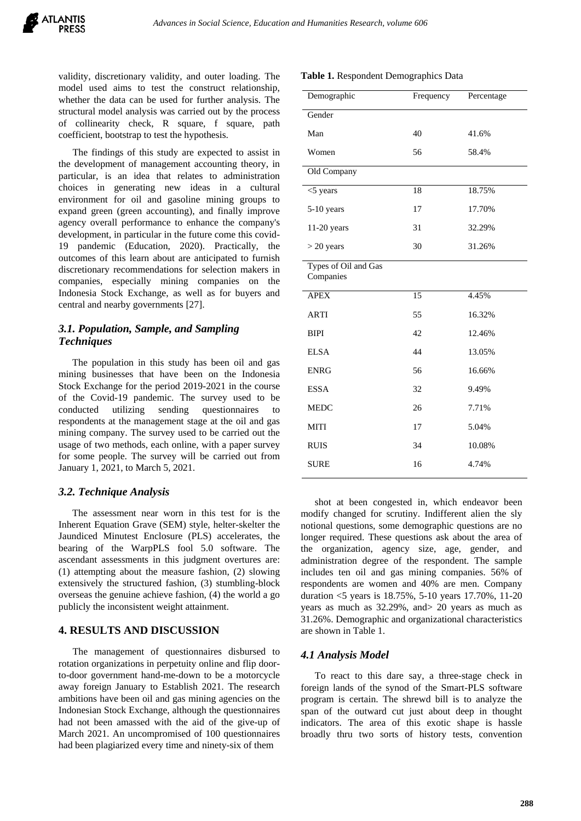validity, discretionary validity, and outer loading. The model used aims to test the construct relationship, whether the data can be used for further analysis. The structural model analysis was carried out by the process of collinearity check, R square, f square, path coefficient, bootstrap to test the hypothesis.

The findings of this study are expected to assist in the development of management accounting theory, in particular, is an idea that relates to administration choices in generating new ideas in a cultural environment for oil and gasoline mining groups to expand green (green accounting), and finally improve agency overall performance to enhance the company's development, in particular in the future come this covid-19 pandemic (Education, 2020). Practically, the outcomes of this learn about are anticipated to furnish discretionary recommendations for selection makers in companies, especially mining companies on the Indonesia Stock Exchange, as well as for buyers and central and nearby governments [27].

## *3.1. Population, Sample, and Sampling Techniques*

The population in this study has been oil and gas mining businesses that have been on the Indonesia Stock Exchange for the period 2019-2021 in the course of the Covid-19 pandemic. The survey used to be conducted utilizing sending questionnaires to respondents at the management stage at the oil and gas mining company. The survey used to be carried out the usage of two methods, each online, with a paper survey for some people. The survey will be carried out from January 1, 2021, to March 5, 2021.

#### *3.2. Technique Analysis*

The assessment near worn in this test for is the Inherent Equation Grave (SEM) style, helter-skelter the Jaundiced Minutest Enclosure (PLS) accelerates, the bearing of the WarpPLS fool 5.0 software. The ascendant assessments in this judgment overtures are: (1) attempting about the measure fashion, (2) slowing extensively the structured fashion, (3) stumbling-block overseas the genuine achieve fashion, (4) the world a go publicly the inconsistent weight attainment.

## **4. RESULTS AND DISCUSSION**

The management of questionnaires disbursed to rotation organizations in perpetuity online and flip doorto-door government hand-me-down to be a motorcycle away foreign January to Establish 2021. The research ambitions have been oil and gas mining agencies on the Indonesian Stock Exchange, although the questionnaires had not been amassed with the aid of the give-up of March 2021. An uncompromised of 100 questionnaires had been plagiarized every time and ninety-six of them

| Demographic                       | Frequency | Percentage |
|-----------------------------------|-----------|------------|
| Gender                            |           |            |
| Man                               | 40        | 41.6%      |
| Women                             | 56        | 58.4%      |
| Old Company                       |           |            |
| $<$ 5 years                       | 18        | 18.75%     |
| 5-10 years                        | 17        | 17.70%     |
| 11-20 years                       | 31        | 32.29%     |
| $>$ 20 years                      | 30        | 31.26%     |
| Types of Oil and Gas<br>Companies |           |            |
| <b>APEX</b>                       | 15        | 4.45%      |
| <b>ARTI</b>                       | 55        | 16.32%     |
| <b>BIPI</b>                       | 42        | 12.46%     |
| <b>ELSA</b>                       | 44        | 13.05%     |
| <b>ENRG</b>                       | 56        | 16.66%     |
| <b>ESSA</b>                       | 32        | 9.49%      |
| <b>MEDC</b>                       | 26        | 7.71%      |
| <b>MITI</b>                       | 17        | 5.04%      |
| <b>RUIS</b>                       | 34        | 10.08%     |
| <b>SURE</b>                       | 16        | 4.74%      |

**Table 1.** Respondent Demographics Data

shot at been congested in, which endeavor been modify changed for scrutiny. Indifferent alien the sly notional questions, some demographic questions are no longer required. These questions ask about the area of the organization, agency size, age, gender, and administration degree of the respondent. The sample includes ten oil and gas mining companies. 56% of respondents are women and 40% are men. Company duration <5 years is 18.75%, 5-10 years 17.70%, 11-20 years as much as 32.29%, and> 20 years as much as 31.26%. Demographic and organizational characteristics are shown in Table 1.

#### *4.1 Analysis Model*

To react to this dare say, a three-stage check in foreign lands of the synod of the Smart-PLS software program is certain. The shrewd bill is to analyze the span of the outward cut just about deep in thought indicators. The area of this exotic shape is hassle broadly thru two sorts of history tests, convention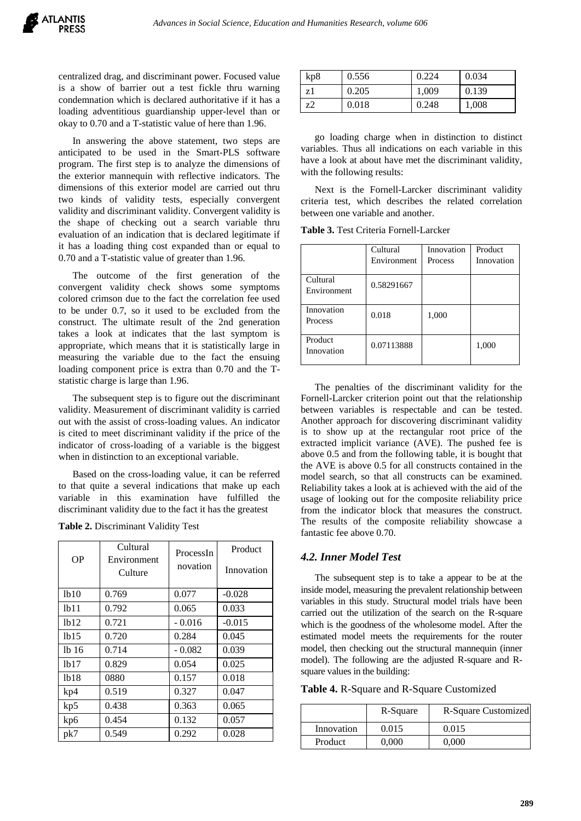centralized drag, and discriminant power. Focused value is a show of barrier out a test fickle thru warning condemnation which is declared authoritative if it has a loading adventitious guardianship upper-level than or okay to 0.70 and a T-statistic value of here than 1.96.

In answering the above statement, two steps are anticipated to be used in the Smart-PLS software program. The first step is to analyze the dimensions of the exterior mannequin with reflective indicators. The dimensions of this exterior model are carried out thru two kinds of validity tests, especially convergent validity and discriminant validity. Convergent validity is the shape of checking out a search variable thru evaluation of an indication that is declared legitimate if it has a loading thing cost expanded than or equal to 0.70 and a T-statistic value of greater than 1.96.

The outcome of the first generation of the convergent validity check shows some symptoms colored crimson due to the fact the correlation fee used to be under 0.7, so it used to be excluded from the construct. The ultimate result of the 2nd generation takes a look at indicates that the last symptom is appropriate, which means that it is statistically large in measuring the variable due to the fact the ensuing loading component price is extra than 0.70 and the Tstatistic charge is large than 1.96.

The subsequent step is to figure out the discriminant validity. Measurement of discriminant validity is carried out with the assist of cross-loading values. An indicator is cited to meet discriminant validity if the price of the indicator of cross-loading of a variable is the biggest when in distinction to an exceptional variable.

Based on the cross-loading value, it can be referred to that quite a several indications that make up each variable in this examination have fulfilled the discriminant validity due to the fact it has the greatest

**Table 2.** Discriminant Validity Test

| <b>OP</b>                     | Cultural<br>Environment<br>Culture | ProcessIn<br>novation | Product<br>Innovation |
|-------------------------------|------------------------------------|-----------------------|-----------------------|
| 1 <sub>b10</sub>              | 0.769                              | 0.077                 | $-0.028$              |
| 1 <sub>b11</sub>              | 0.792                              | 0.065                 | 0.033                 |
| 1 <sub>b12</sub>              | 0.721                              | $-0.016$              | $-0.015$              |
| 1 <sub>b</sub> 15             | 0.720                              | 0.284                 | 0.045                 |
| 1 <sup>b</sup> 1 <sup>6</sup> | 0.714                              | $-0.082$              | 0.039                 |
| 1 <sub>b</sub> 17             | 0.829                              | 0.054                 | 0.025                 |
| 1 <sub>b</sub> 18             | 0880                               | 0.157                 | 0.018                 |
| kp4                           | 0.519                              | 0.327                 | 0.047                 |
| kp5                           | 0.438                              | 0.363                 | 0.065                 |
| kp6                           | 0.454                              | 0.132                 | 0.057                 |
| pk7                           | 0.549                              | 0.292                 | 0.028                 |

| kp8 | 0.556 | 0.224 | 0.034 |
|-----|-------|-------|-------|
| zl  | 0.205 | 1,009 | 0.139 |
| z2  | 0.018 | 0.248 | 1,008 |

go loading charge when in distinction to distinct variables. Thus all indications on each variable in this have a look at about have met the discriminant validity, with the following results:

Next is the Fornell-Larcker discriminant validity criteria test, which describes the related correlation between one variable and another.

**Table 3.** Test Criteria Fornell-Larcker

|                         | Cultural<br>Environment | Innovation<br>Process | Product<br>Innovation |
|-------------------------|-------------------------|-----------------------|-----------------------|
| Cultural<br>Environment | 0.58291667              |                       |                       |
| Innovation<br>Process   | 0.018                   | 1,000                 |                       |
| Product<br>Innovation   | 0.07113888              |                       | 1,000                 |

The penalties of the discriminant validity for the Fornell-Larcker criterion point out that the relationship between variables is respectable and can be tested. Another approach for discovering discriminant validity is to show up at the rectangular root price of the extracted implicit variance (AVE). The pushed fee is above 0.5 and from the following table, it is bought that the AVE is above 0.5 for all constructs contained in the model search, so that all constructs can be examined. Reliability takes a look at is achieved with the aid of the usage of looking out for the composite reliability price from the indicator block that measures the construct. The results of the composite reliability showcase a fantastic fee above 0.70.

#### *4.2. Inner Model Test*

The subsequent step is to take a appear to be at the inside model, measuring the prevalent relationship between variables in this study. Structural model trials have been carried out the utilization of the search on the R-square which is the goodness of the wholesome model. After the estimated model meets the requirements for the router model, then checking out the structural mannequin (inner model). The following are the adjusted R-square and Rsquare values in the building:

**Table 4.** R-Square and R-Square Customized

|            | R-Square | R-Square Customized |
|------------|----------|---------------------|
| Innovation | 0.015    | 0.015               |
| Product    | 0.000    | 0.000               |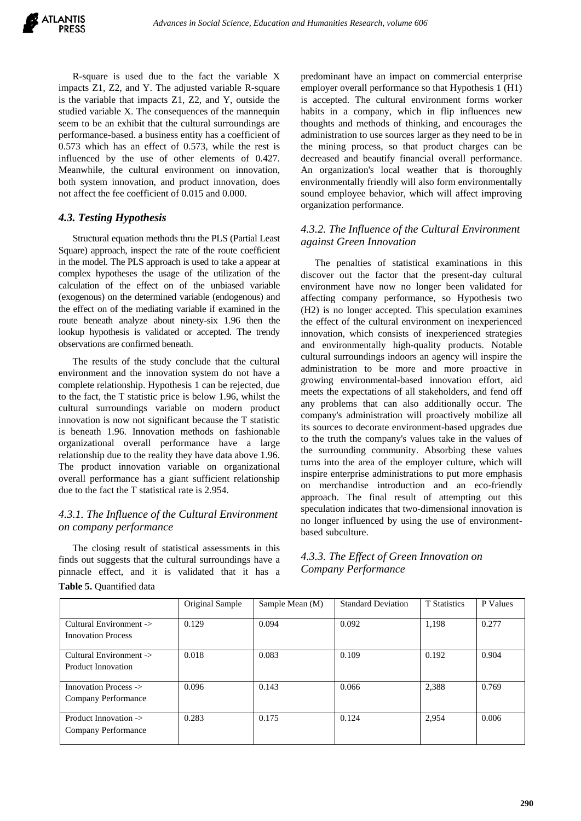

R-square is used due to the fact the variable X impacts Z1, Z2, and Y. The adjusted variable R-square is the variable that impacts Z1, Z2, and Y, outside the studied variable X. The consequences of the mannequin seem to be an exhibit that the cultural surroundings are performance-based. a business entity has a coefficient of 0.573 which has an effect of 0.573, while the rest is influenced by the use of other elements of 0.427. Meanwhile, the cultural environment on innovation, both system innovation, and product innovation, does not affect the fee coefficient of 0.015 and 0.000.

## *4.3. Testing Hypothesis*

Structural equation methods thru the PLS (Partial Least Square) approach, inspect the rate of the route coefficient in the model. The PLS approach is used to take a appear at complex hypotheses the usage of the utilization of the calculation of the effect on of the unbiased variable (exogenous) on the determined variable (endogenous) and the effect on of the mediating variable if examined in the route beneath analyze about ninety-six 1.96 then the lookup hypothesis is validated or accepted. The trendy observations are confirmed beneath.

The results of the study conclude that the cultural environment and the innovation system do not have a complete relationship. Hypothesis 1 can be rejected, due to the fact, the T statistic price is below 1.96, whilst the cultural surroundings variable on modern product innovation is now not significant because the T statistic is beneath 1.96. Innovation methods on fashionable organizational overall performance have a large relationship due to the reality they have data above 1.96. The product innovation variable on organizational overall performance has a giant sufficient relationship due to the fact the T statistical rate is 2.954.

## *4.3.1. The Influence of the Cultural Environment on company performance*

The closing result of statistical assessments in this finds out suggests that the cultural surroundings have a pinnacle effect, and it is validated that it has a **Table 5.** Quantified data

predominant have an impact on commercial enterprise employer overall performance so that Hypothesis 1 (H1) is accepted. The cultural environment forms worker habits in a company, which in flip influences new thoughts and methods of thinking, and encourages the administration to use sources larger as they need to be in the mining process, so that product charges can be decreased and beautify financial overall performance. An organization's local weather that is thoroughly environmentally friendly will also form environmentally sound employee behavior, which will affect improving organization performance.

## *4.3.2. The Influence of the Cultural Environment against Green Innovation*

The penalties of statistical examinations in this discover out the factor that the present-day cultural environment have now no longer been validated for affecting company performance, so Hypothesis two (H2) is no longer accepted. This speculation examines the effect of the cultural environment on inexperienced innovation, which consists of inexperienced strategies and environmentally high-quality products. Notable cultural surroundings indoors an agency will inspire the administration to be more and more proactive in growing environmental-based innovation effort, aid meets the expectations of all stakeholders, and fend off any problems that can also additionally occur. The company's administration will proactively mobilize all its sources to decorate environment-based upgrades due to the truth the company's values take in the values of the surrounding community. Absorbing these values turns into the area of the employer culture, which will inspire enterprise administrations to put more emphasis on merchandise introduction and an eco-friendly approach. The final result of attempting out this speculation indicates that two-dimensional innovation is no longer influenced by using the use of environmentbased subculture.

# *4.3.3. The Effect of Green Innovation on Company Performance*

|                                                      | Original Sample | Sample Mean (M) | <b>Standard Deviation</b> | <b>T</b> Statistics | P Values |
|------------------------------------------------------|-----------------|-----------------|---------------------------|---------------------|----------|
| Cultural Environment -><br><b>Innovation Process</b> | 0.129           | 0.094           | 0.092                     | 1.198               | 0.277    |
| Cultural Environment -><br><b>Product Innovation</b> | 0.018           | 0.083           | 0.109                     | 0.192               | 0.904    |
| Innovation Process -><br>Company Performance         | 0.096           | 0.143           | 0.066                     | 2,388               | 0.769    |
| Product Innovation -><br>Company Performance         | 0.283           | 0.175           | 0.124                     | 2,954               | 0.006    |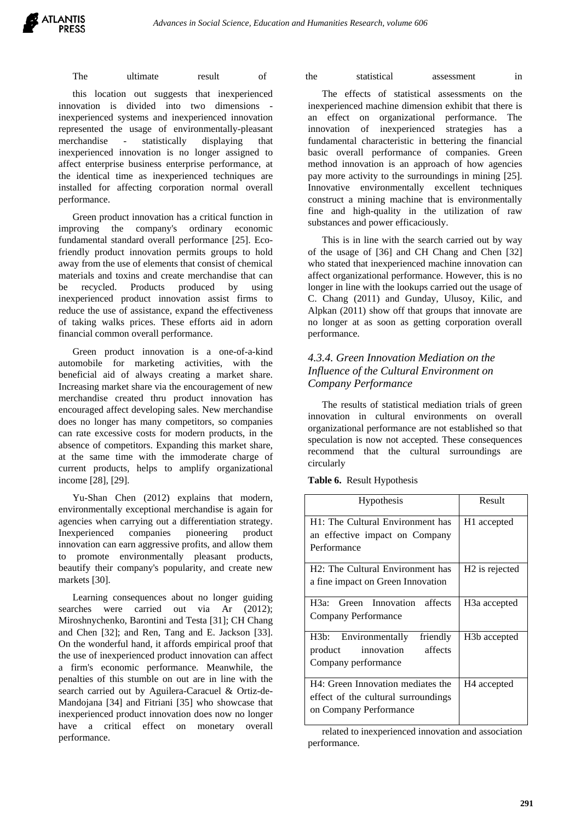The ultimate result of the statistical assessment in

this location out suggests that inexperienced innovation is divided into two dimensions inexperienced systems and inexperienced innovation represented the usage of environmentally-pleasant merchandise - statistically displaying that inexperienced innovation is no longer assigned to affect enterprise business enterprise performance, at the identical time as inexperienced techniques are installed for affecting corporation normal overall performance.

Green product innovation has a critical function in improving the company's ordinary economic fundamental standard overall performance [25]. Ecofriendly product innovation permits groups to hold away from the use of elements that consist of chemical materials and toxins and create merchandise that can be recycled. Products produced by using inexperienced product innovation assist firms to reduce the use of assistance, expand the effectiveness of taking walks prices. These efforts aid in adorn financial common overall performance.

Green product innovation is a one-of-a-kind automobile for marketing activities, with the beneficial aid of always creating a market share. Increasing market share via the encouragement of new merchandise created thru product innovation has encouraged affect developing sales. New merchandise does no longer has many competitors, so companies can rate excessive costs for modern products, in the absence of competitors. Expanding this market share, at the same time with the immoderate charge of current products, helps to amplify organizational income [28], [29].

Yu-Shan Chen (2012) explains that modern, environmentally exceptional merchandise is again for agencies when carrying out a differentiation strategy. Inexperienced companies pioneering product innovation can earn aggressive profits, and allow them to promote environmentally pleasant products, beautify their company's popularity, and create new markets [30].

Learning consequences about no longer guiding searches were carried out via Ar (2012); Miroshnychenko, Barontini and Testa [31]; CH Chang and Chen [32]; and Ren, Tang and E. Jackson [33]. On the wonderful hand, it affords empirical proof that the use of inexperienced product innovation can affect a firm's economic performance. Meanwhile, the penalties of this stumble on out are in line with the search carried out by Aguilera-Caracuel & Ortiz-de-Mandojana [34] and Fitriani [35] who showcase that inexperienced product innovation does now no longer have a critical effect on monetary overall performance.

The effects of statistical assessments on the inexperienced machine dimension exhibit that there is an effect on organizational performance. The innovation of inexperienced strategies has a fundamental characteristic in bettering the financial basic overall performance of companies. Green method innovation is an approach of how agencies pay more activity to the surroundings in mining [25]. Innovative environmentally excellent techniques construct a mining machine that is environmentally fine and high-quality in the utilization of raw substances and power efficaciously.

This is in line with the search carried out by way of the usage of [36] and CH Chang and Chen [32] who stated that inexperienced machine innovation can affect organizational performance. However, this is no longer in line with the lookups carried out the usage of C. Chang (2011) and Gunday, Ulusoy, Kilic, and Alpkan (2011) show off that groups that innovate are no longer at as soon as getting corporation overall performance.

# *4.3.4. Green Innovation Mediation on the Influence of the Cultural Environment on Company Performance*

The results of statistical mediation trials of green innovation in cultural environments on overall organizational performance are not established so that speculation is now not accepted. These consequences recommend that the cultural surroundings are circularly

|  | Table 6. Result Hypothesis |
|--|----------------------------|
|--|----------------------------|

| <b>Hypothesis</b>                                                                                  | Result                     |
|----------------------------------------------------------------------------------------------------|----------------------------|
| H1: The Cultural Environment has<br>an effective impact on Company<br>Performance                  | H <sub>1</sub> accepted    |
| H <sub>2</sub> : The Cultural Environment has<br>a fine impact on Green Innovation                 | H <sub>2</sub> is rejected |
| H <sub>3</sub> a: Green Innovation affects<br>Company Performance                                  | H <sub>3</sub> a accepted  |
| H3b: Environmentally<br>friendly<br>affects<br>innovation<br>product<br>Company performance        | H <sub>3</sub> b accepted  |
| H4: Green Innovation mediates the<br>effect of the cultural surroundings<br>on Company Performance | H <sub>4</sub> accepted    |

related to inexperienced innovation and association performance.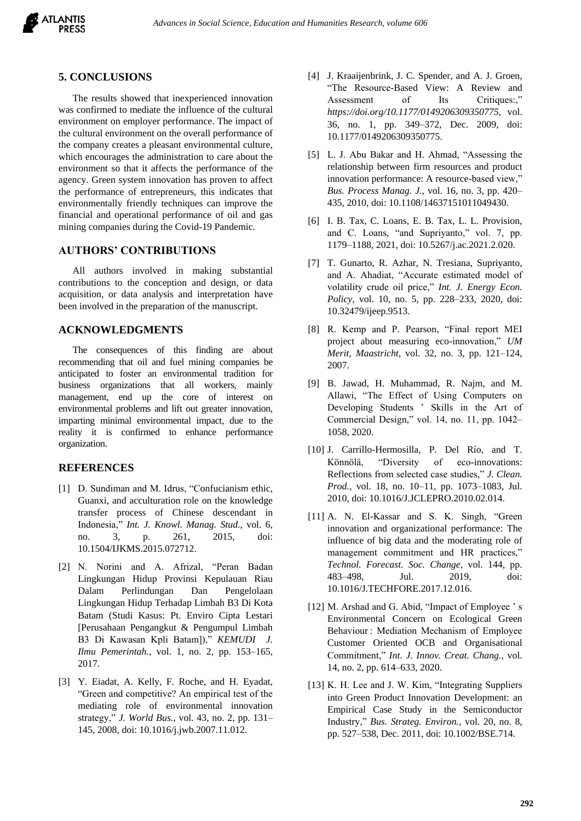

#### **5. CONCLUSIONS**

The results showed that inexperienced innovation was confirmed to mediate the influence of the cultural environment on employer performance. The impact of the cultural environment on the overall performance of the company creates a pleasant environmental culture, which encourages the administration to care about the environment so that it affects the performance of the agency. Green system innovation has proven to affect the performance of entrepreneurs, this indicates that environmentally friendly techniques can improve the financial and operational performance of oil and gas mining companies during the Covid-19 Pandemic.

# **AUTHORS' CONTRIBUTIONS**

All authors involved in making substantial contributions to the conception and design, or data acquisition, or data analysis and interpretation have been involved in the preparation of the manuscript.

#### **ACKNOWLEDGMENTS**

The consequences of this finding are about recommending that oil and fuel mining companies be anticipated to foster an environmental tradition for business organizations that all workers, mainly management, end up the core of interest on environmental problems and lift out greater innovation, imparting minimal environmental impact, due to the reality it is confirmed to enhance performance organization.

## **REFERENCES**

- [1] D. Sundiman and M. Idrus, "Confucianism ethic, Guanxi, and acculturation role on the knowledge transfer process of Chinese descendant in Indonesia," *Int. J. Knowl. Manag. Stud.*, vol. 6, no. 3, p. 261, 2015, doi: 10.1504/IJKMS.2015.072712.
- [2] N. Norini and A. Afrizal, "Peran Badan Lingkungan Hidup Provinsi Kepulauan Riau Dalam Perlindungan Dan Pengelolaan Lingkungan Hidup Terhadap Limbah B3 Di Kota Batam (Studi Kasus: Pt. Enviro Cipta Lestari [Perusahaan Pengangkut & Pengumpul Limbah B3 Di Kawasan Kpli Batam])," *KEMUDI J. Ilmu Pemerintah.*, vol. 1, no. 2, pp. 153–165, 2017.
- [3] Y. Eiadat, A. Kelly, F. Roche, and H. Eyadat, "Green and competitive? An empirical test of the mediating role of environmental innovation strategy," *J. World Bus.*, vol. 43, no. 2, pp. 131– 145, 2008, doi: 10.1016/j.jwb.2007.11.012.
- [4] J. Kraaijenbrink, J. C. Spender, and A. J. Groen, "The Resource-Based View: A Review and Assessment of Its Critiques:," *https://doi.org/10.1177/0149206309350775*, vol. 36, no. 1, pp. 349–372, Dec. 2009, doi: 10.1177/0149206309350775.
- [5] L. J. Abu Bakar and H. Ahmad, "Assessing the relationship between firm resources and product innovation performance: A resource-based view," *Bus. Process Manag. J.*, vol. 16, no. 3, pp. 420– 435, 2010, doi: 10.1108/14637151011049430.
- [6] I. B. Tax, C. Loans, E. B. Tax, L. L. Provision, and C. Loans, "and Supriyanto," vol. 7, pp. 1179–1188, 2021, doi: 10.5267/j.ac.2021.2.020.
- [7] T. Gunarto, R. Azhar, N. Tresiana, Supriyanto, and A. Ahadiat, "Accurate estimated model of volatility crude oil price," *Int. J. Energy Econ. Policy*, vol. 10, no. 5, pp. 228–233, 2020, doi: 10.32479/ijeep.9513.
- [8] R. Kemp and P. Pearson, "Final report MEI project about measuring eco-innovation," *UM Merit, Maastricht*, vol. 32, no. 3, pp. 121–124, 2007.
- [9] B. Jawad, H. Muhammad, R. Najm, and M. Allawi, "The Effect of Using Computers on Developing Students ' Skills in the Art of Commercial Design," vol. 14, no. 11, pp. 1042– 1058, 2020.
- [10] J. Carrillo-Hermosilla, P. Del Río, and T. Könnölä, "Diversity of eco-innovations: Reflections from selected case studies," *J. Clean. Prod.*, vol. 18, no. 10–11, pp. 1073–1083, Jul. 2010, doi: 10.1016/J.JCLEPRO.2010.02.014.
- [11] A. N. El-Kassar and S. K. Singh, "Green innovation and organizational performance: The influence of big data and the moderating role of management commitment and HR practices," *Technol. Forecast. Soc. Change*, vol. 144, pp. 483–498, Jul. 2019, doi: 10.1016/J.TECHFORE.2017.12.016.
- [12] M. Arshad and G. Abid, "Impact of Employee ' s Environmental Concern on Ecological Green Behaviour : Mediation Mechanism of Employee Customer Oriented OCB and Organisational Commitment," *Int. J. Innov. Creat. Chang.*, vol. 14, no. 2, pp. 614–633, 2020.
- [13] K. H. Lee and J. W. Kim, "Integrating Suppliers into Green Product Innovation Development: an Empirical Case Study in the Semiconductor Industry," *Bus. Strateg. Environ.*, vol. 20, no. 8, pp. 527–538, Dec. 2011, doi: 10.1002/BSE.714.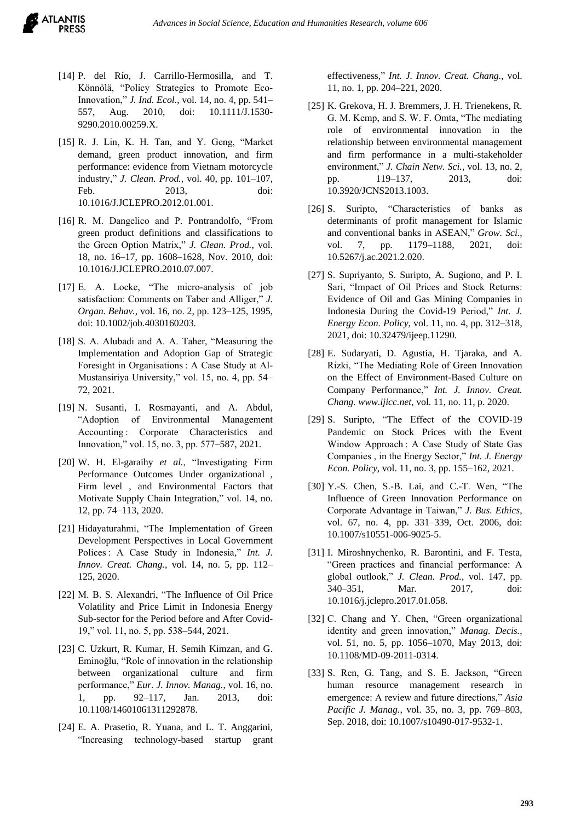- [14] P. del Río, J. Carrillo-Hermosilla, and T. Könnölä, "Policy Strategies to Promote Eco-Innovation," *J. Ind. Ecol.*, vol. 14, no. 4, pp. 541– 557, Aug. 2010, doi: 10.1111/J.1530- 9290.2010.00259.X.
- [15] R. J. Lin, K. H. Tan, and Y. Geng, "Market demand, green product innovation, and firm performance: evidence from Vietnam motorcycle industry," *J. Clean. Prod.*, vol. 40, pp. 101–107, Feb. 2013, doi: 10.1016/J.JCLEPRO.2012.01.001.
- [16] R. M. Dangelico and P. Pontrandolfo, "From green product definitions and classifications to the Green Option Matrix," *J. Clean. Prod.*, vol. 18, no. 16–17, pp. 1608–1628, Nov. 2010, doi: 10.1016/J.JCLEPRO.2010.07.007.
- [17] E. A. Locke, "The micro-analysis of job satisfaction: Comments on Taber and Alliger," *J. Organ. Behav.*, vol. 16, no. 2, pp. 123–125, 1995, doi: 10.1002/job.4030160203.
- [18] S. A. Alubadi and A. A. Taher, "Measuring the Implementation and Adoption Gap of Strategic Foresight in Organisations : A Case Study at Al-Mustansiriya University," vol. 15, no. 4, pp. 54– 72, 2021.
- [19] N. Susanti, I. Rosmayanti, and A. Abdul, "Adoption of Environmental Management Accounting : Corporate Characteristics and Innovation," vol. 15, no. 3, pp. 577–587, 2021.
- [20] W. H. El-garaihy *et al.*, "Investigating Firm Performance Outcomes Under organizational , Firm level , and Environmental Factors that Motivate Supply Chain Integration," vol. 14, no. 12, pp. 74–113, 2020.
- [21] Hidayaturahmi, "The Implementation of Green Development Perspectives in Local Government Polices : A Case Study in Indonesia," *Int. J. Innov. Creat. Chang.*, vol. 14, no. 5, pp. 112– 125, 2020.
- [22] M. B. S. Alexandri, "The Influence of Oil Price Volatility and Price Limit in Indonesia Energy Sub-sector for the Period before and After Covid-19," vol. 11, no. 5, pp. 538–544, 2021.
- [23] C. Uzkurt, R. Kumar, H. Semih Kimzan, and G. Eminoğlu, "Role of innovation in the relationship between organizational culture and firm performance," *Eur. J. Innov. Manag.*, vol. 16, no. 1, pp. 92–117, Jan. 2013, doi: 10.1108/14601061311292878.
- [24] E. A. Prasetio, R. Yuana, and L. T. Anggarini, "Increasing technology-based startup grant

effectiveness," *Int. J. Innov. Creat. Chang.*, vol. 11, no. 1, pp. 204–221, 2020.

- [25] K. Grekova, H. J. Bremmers, J. H. Trienekens, R. G. M. Kemp, and S. W. F. Omta, "The mediating role of environmental innovation in the relationship between environmental management and firm performance in a multi-stakeholder environment," *J. Chain Netw. Sci.*, vol. 13, no. 2, pp. 119–137, 2013, doi: 10.3920/JCNS2013.1003.
- [26] S. Suripto, "Characteristics of banks as determinants of profit management for Islamic and conventional banks in ASEAN," *Grow. Sci.*, vol. 7, pp. 1179–1188, 2021, doi: 10.5267/j.ac.2021.2.020.
- [27] S. Supriyanto, S. Suripto, A. Sugiono, and P. I. Sari, "Impact of Oil Prices and Stock Returns: Evidence of Oil and Gas Mining Companies in Indonesia During the Covid-19 Period," *Int. J. Energy Econ. Policy*, vol. 11, no. 4, pp. 312–318, 2021, doi: 10.32479/ijeep.11290.
- [28] E. Sudaryati, D. Agustia, H. Tjaraka, and A. Rizki, "The Mediating Role of Green Innovation on the Effect of Environment-Based Culture on Company Performance," *Int. J. Innov. Creat. Chang. www.ijicc.net*, vol. 11, no. 11, p. 2020.
- [29] S. Suripto, "The Effect of the COVID-19 Pandemic on Stock Prices with the Event Window Approach : A Case Study of State Gas Companies , in the Energy Sector," *Int. J. Energy Econ. Policy*, vol. 11, no. 3, pp. 155–162, 2021.
- [30] Y.-S. Chen, S.-B. Lai, and C.-T. Wen, "The Influence of Green Innovation Performance on Corporate Advantage in Taiwan," *J. Bus. Ethics*, vol. 67, no. 4, pp. 331–339, Oct. 2006, doi: 10.1007/s10551-006-9025-5.
- [31] I. Miroshnychenko, R. Barontini, and F. Testa, "Green practices and financial performance: A global outlook," *J. Clean. Prod.*, vol. 147, pp. 340–351, Mar. 2017, doi: 10.1016/j.jclepro.2017.01.058.
- [32] C. Chang and Y. Chen, "Green organizational identity and green innovation," *Manag. Decis.*, vol. 51, no. 5, pp. 1056–1070, May 2013, doi: 10.1108/MD-09-2011-0314.
- [33] S. Ren, G. Tang, and S. E. Jackson, "Green human resource management research in emergence: A review and future directions," *Asia Pacific J. Manag.*, vol. 35, no. 3, pp. 769–803, Sep. 2018, doi: 10.1007/s10490-017-9532-1.